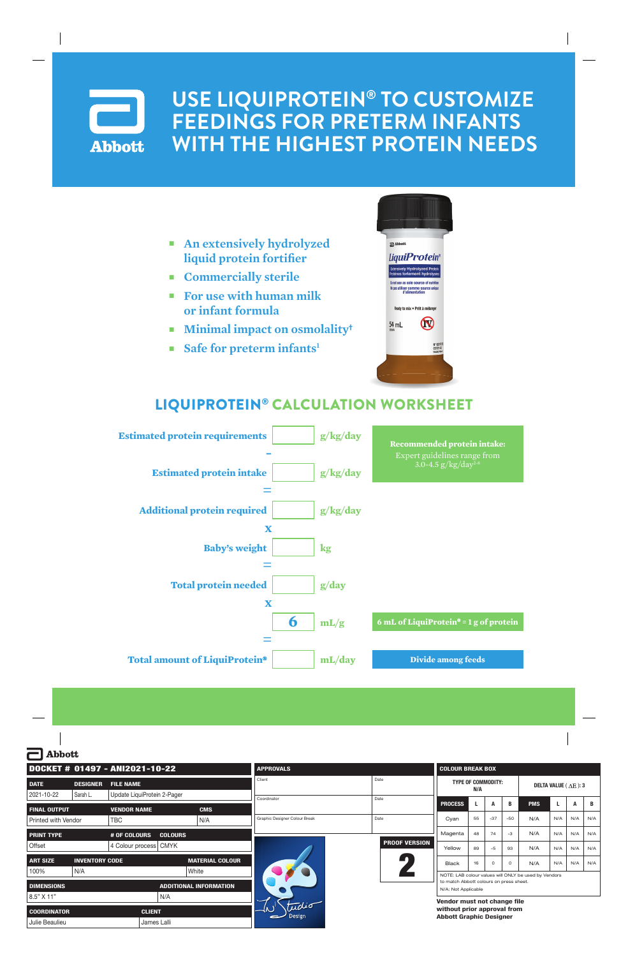

## **USE LIQUIPROTEIN® TO CUSTOMIZE FEEDINGS FOR PRETERM INFANTS WITH THE HIGHEST PROTEIN NEEDS**

- **An extensively hydrolyzed liquid protein fortifier**
- **EXECUTE:** Commercially sterile
- **For use with human milk or infant formula**
- **Minimal impact on osmolality†**
- **Example 5 Safe for preterm infants<sup>1</sup>**



## LIQUIPROTEIN® CALCULATION WORKSHEET